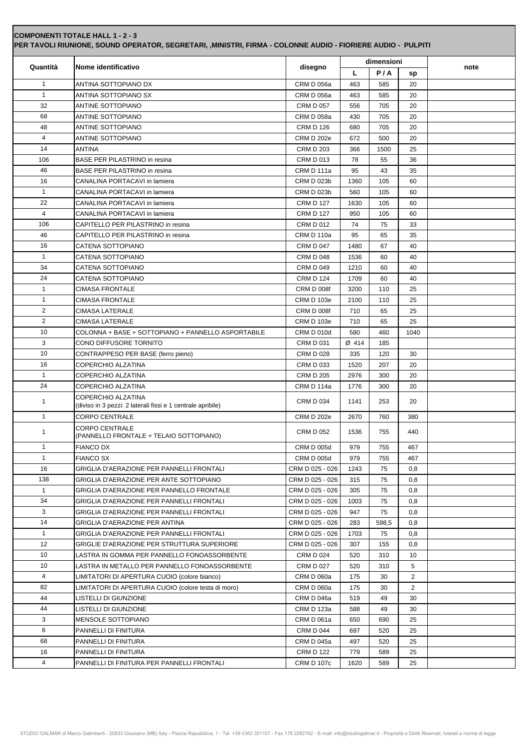|              | Nome identificativo                                                               |                   |       | dimensioni |      |      |
|--------------|-----------------------------------------------------------------------------------|-------------------|-------|------------|------|------|
| Quantità     |                                                                                   | disegno           | L     | P/A        | sp   | note |
| $\mathbf{1}$ | ANTINA SOTTOPIANO DX                                                              | CRM D 056a        | 463   | 585        | 20   |      |
| $\mathbf{1}$ | ANTINA SOTTOPIANO SX                                                              | <b>CRM D 056a</b> | 463   | 585        | 20   |      |
| 32           | ANTINE SOTTOPIANO                                                                 | <b>CRM D 057</b>  | 556   | 705        | 20   |      |
| 68           | ANTINE SOTTOPIANO                                                                 | <b>CRM D 058a</b> | 430   | 705        | 20   |      |
| 48           | ANTINE SOTTOPIANO                                                                 | <b>CRM D 126</b>  | 680   | 705        | 20   |      |
| 4            | ANTINE SOTTOPIANO                                                                 | <b>CRM D 202e</b> | 672   | 500        | 20   |      |
| 14           | ANTINA                                                                            | <b>CRM D 203</b>  | 366   | 1500       | 25   |      |
| 106          | BASE PER PILASTRINO in resina                                                     | <b>CRM D 013</b>  | 78    | 55         | 36   |      |
| 46           | BASE PER PILASTRINO in resina                                                     | CRM D 111a        | 95    | 43         | 35   |      |
| 16           | CANALINA PORTACAVI in lamiera                                                     | <b>CRM D 023b</b> | 1360  | 105        | 60   |      |
| $\mathbf{1}$ | CANALINA PORTACAVI in lamiera                                                     | <b>CRM D 023b</b> | 560   | 105        | 60   |      |
| 22           | CANALINA PORTACAVI in lamiera                                                     | <b>CRM D 127</b>  | 1630  | 105        | 60   |      |
| 4            | CANALINA PORTACAVI in lamiera                                                     | <b>CRM D 127</b>  | 950   | 105        | 60   |      |
| 106          | CAPITELLO PER PILASTRINO in resina                                                | <b>CRM D 012</b>  | 74    | 75         | 33   |      |
| 46           | CAPITELLO PER PILASTRINO in resina                                                | CRM D 110a        | 95    | 65         | 35   |      |
| 16           | CATENA SOTTOPIANO                                                                 | <b>CRM D 047</b>  | 1480  | 67         | 40   |      |
| 1            | CATENA SOTTOPIANO                                                                 | <b>CRM D 048</b>  | 1536  | 60         | 40   |      |
| 34           | CATENA SOTTOPIANO                                                                 | <b>CRM D 049</b>  | 1210  | 60         | 40   |      |
| 24           | CATENA SOTTOPIANO                                                                 | <b>CRM D 124</b>  | 1709  | 60         | 40   |      |
| $\mathbf{1}$ | <b>CIMASA FRONTALE</b>                                                            | <b>CRM D 008f</b> | 3200  | 110        | 25   |      |
| 1            | <b>CIMASA FRONTALE</b>                                                            | <b>CRM D 103e</b> | 2100  | 110        | 25   |      |
| 2            | <b>CIMASA LATERALE</b>                                                            | <b>CRM D 008f</b> | 710   | 65         | 25   |      |
| 2            | <b>CIMASA LATERALE</b>                                                            | <b>CRM D 103e</b> | 710   | 65         | 25   |      |
| 10           | COLONNA + BASE + SOTTOPIANO + PANNELLO ASPORTABILE                                | <b>CRM D 010d</b> | 580   | 460        | 1040 |      |
| 3            | CONO DIFFUSORE TORNITO                                                            | <b>CRM D 031</b>  | Ø 414 | 185        |      |      |
| 10           | CONTRAPPESO PER BASE (ferro pieno)                                                | <b>CRM D 028</b>  | 335   | 120        | 30   |      |
| 16           | COPERCHIO ALZATINA                                                                | <b>CRM D 033</b>  | 1520  | 207        | 20   |      |
| $\mathbf{1}$ | COPERCHIO ALZATINA                                                                | <b>CRM D 205</b>  | 2976  | 300        | 20   |      |
| 24           | <b>COPERCHIO ALZATINA</b>                                                         | CRM D 114a        | 1776  | 300        | 20   |      |
| 1            | COPERCHIO ALZATINA<br>(diviso in 3 pezzi: 2 laterali fissi e 1 centrale apribile) | <b>CRM D 034</b>  | 1141  | 253        | 20   |      |
| 1            | <b>CORPO CENTRALE</b>                                                             | <b>CRM D 202e</b> | 2670  | 760        | 380  |      |
| 1            | <b>CORPO CENTRALE</b><br>(PANNELLO FRONTALE + TELAIO SOTTOPIANO)                  | <b>CRM D 052</b>  | 1536  | 755        | 440  |      |
| 1            | <b>FIANCO DX</b>                                                                  | <b>CRM D 005d</b> | 979   | 755        | 467  |      |
| $\mathbf{1}$ | <b>FIANCO SX</b>                                                                  | <b>CRM D 005d</b> | 979   | 755        | 467  |      |
| 16           | <b>GRIGLIA D'AERAZIONE PER PANNELLI FRONTALI</b>                                  | CRM D 025 - 026   | 1243  | 75         | 0,8  |      |
| 138          | GRIGLIA D'AERAZIONE PER ANTE SOTTOPIANO                                           | CRM D 025 - 026   | 315   | 75         | 0,8  |      |
| $\mathbf{1}$ | GRIGLIA D'AERAZIONE PER PANNELLO FRONTALE                                         | CRM D 025 - 026   | 305   | 75         | 0,8  |      |
| 34           | GRIGLIA D'AERAZIONE PER PANNELLI FRONTALI                                         | CRM D 025 - 026   | 1003  | 75         | 0,8  |      |
| 3            | GRIGLIA D'AERAZIONE PER PANNELLI FRONTALI                                         | CRM D 025 - 026   | 947   | 75         | 0,8  |      |
| 14           | GRIGLIA D'AERAZIONE PER ANTINA                                                    | CRM D 025 - 026   | 283   | 598,5      | 0,8  |      |
| $\mathbf{1}$ | GRIGLIA D'AERAZIONE PER PANNELLI FRONTALI                                         | CRM D 025 - 026   | 1703  | 75         | 0,8  |      |
| 12           | GRIGLIE D'AERAZIONE PER STRUTTURA SUPERIORE                                       | CRM D 025 - 026   | 307   | 155        | 0,8  |      |
| 10           | LASTRA IN GOMMA PER PANNELLO FONOASSORBENTE                                       | <b>CRM D 024</b>  | 520   | 310        | 10   |      |
| 10           | LASTRA IN METALLO PER PANNELLO FONOASSORBENTE                                     | <b>CRM D 027</b>  | 520   | 310        | 5    |      |
| 4            | LIMITATORI DI APERTURA CUOIO (colore bianco)                                      | <b>CRM D 060a</b> | 175   | 30         | 2    |      |
| 82           | LIMITATORI DI APERTURA CUOIO (colore testa di moro)                               | <b>CRM D 060a</b> | 175   | 30         | 2    |      |
| 44           | LISTELLI DI GIUNZIONE                                                             | CRM D 046a        | 519   | 49         | 30   |      |
| 44           | LISTELLI DI GIUNZIONE                                                             | CRM D 123a        | 588   | 49         | 30   |      |
| 3            | MENSOLE SOTTOPIANO                                                                | CRM D 061a        | 650   | 690        | 25   |      |
| 6            | PANNELLI DI FINITURA                                                              | <b>CRM D 044</b>  | 697   | 520        | 25   |      |
| 68           | PANNELLI DI FINITURA                                                              | CRM D 045a        | 497   | 520        | 25   |      |
| 16           | PANNELLI DI FINITURA                                                              | <b>CRM D 122</b>  | 779   | 589        | 25   |      |
|              |                                                                                   | <b>CRM D 107c</b> |       |            | 25   |      |